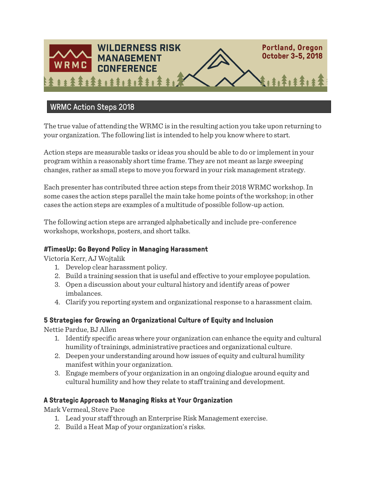

# WRMC Action Steps 2018

The true value of attending the WRMC is in the resulting action you take upon returning to your organization. The following list is intended to help you know where to start.

Action steps are measurable tasks or ideas you should be able to do or implement in your program within a reasonably short time frame. They are not meant as large sweeping changes, rather as small steps to move you forward in your risk management strategy.

Each presenter has contributed three action steps from their 2018 WRMC workshop. In some cases the action steps parallel the main take home points of the workshop; in other cases the action steps are examples of a multitude of possible follow-up action.

The following action steps are arranged alphabetically and include pre-conference workshops, workshops, posters, and short talks.

#### **#TimesUp: Go Beyond Policy in Managing Harassment**

Victoria Kerr, AJ Wojtalik

- 1. Develop clear harassment policy.
- 2. Build a training session that is useful and effective to your employee population.
- 3. Open a discussion about your cultural history and identify areas of power imbalances.
- 4. Clarify you reporting system and organizational response to a harassment claim.

#### **5 Strategies for Growing an Organizational Culture of Equity and Inclusion**

Nettie Pardue, BJ Allen

- 1. Identify specific areas where your organization can enhance the equity and cultural humility of trainings, administrative practices and organizational culture.
- 2. Deepen your understanding around how issues of equity and cultural humility manifest within your organization.
- 3. Engage members of your organization in an ongoing dialogue around equity and cultural humility and how they relate to staff training and development.

#### **A Strategic Approach to Managing Risks at Your Organization**

Mark Vermeal, Steve Pace

- 1. Lead your staff through an Enterprise Risk Management exercise.
- 2. Build a Heat Map of your organization's risks.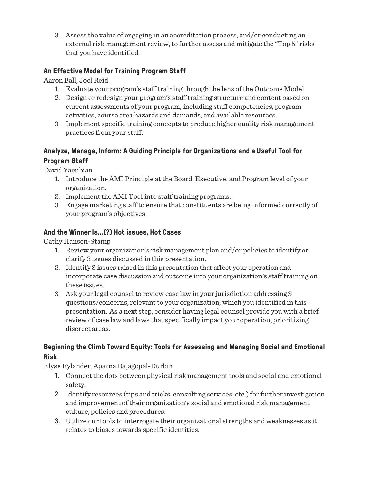3. Assess the value of engaging in an accreditation process, and/or conducting an external risk management review, to further assess and mitigate the "Top 5" risks that you have identified.

### **An Effective Model for Training Program Staff**

Aaron Ball, Joel Reid

- 1. Evaluate your program's staff training through the lens of the Outcome Model
- 2. Design or redesign your program's staff training structure and content based on current assessments of your program, including staff competencies, program activities, course area hazards and demands, and available resources.
- 3. Implement specific training concepts to produce higher quality risk management practices from your staff.

## **Analyze, Manage, Inform: A Guiding Principle for Organizations and a Useful Tool for Program Staff**

David Yacubian

- 1. Introduce the AMI Principle at the Board, Executive, and Program level of your organization.
- 2. Implement the AMI Tool into staff training programs.
- 3. Engage marketing staff to ensure that constituents are being informed correctly of your program's objectives.

#### **And the Winner Is...(?) Hot issues, Hot Cases**

Cathy Hansen-Stamp

- 1. Review your organization's risk management plan and/or policies to identify or clarify 3 issues discussed in this presentation.
- 2. Identify 3 issues raised in this presentation that affect your operation and incorporate case discussion and outcome into your organization's staff training on these issues.
- 3. Ask your legal counsel to review case law in your jurisdiction addressing 3 questions/concerns, relevant to your organization, which you identified in this presentation. As a next step, consider having legal counsel provide you with a brief review of case law and laws that specifically impact your operation, prioritizing discreet areas.

#### **Beginning the Climb Toward Equity: Tools for Assessing and Managing Social and Emotional Risk**

Elyse Rylander, Aparna Rajagopal-Durbin

- 1. Connect the dots between physical risk management tools and social and emotional safety.
- 2. Identify resources (tips and tricks, consulting services, etc.) for further investigation and improvement of their organization's social and emotional risk management culture, policies and procedures.
- 3. Utilize our tools to interrogate their organizational strengths and weaknesses as it relates to biases towards specific identities.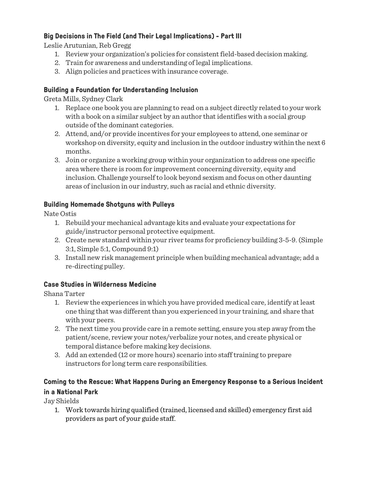### **Big Decisions in The Field (and Their Legal Implications) - Part III**

Leslie Arutunian, Reb Gregg

- 1. Review your organization's policies for consistent field-based decision making.
- 2. Train for awareness and understanding of legal implications.
- 3. Align policies and practices with insurance coverage.

### **Building a Foundation for Understanding Inclusion**

Greta Mills, Sydney Clark

- 1. Replace one book you are planning to read on a subject directly related to your work with a book on a similar subject by an author that identifies with a social group outside of the dominant categories.
- 2. Attend, and/or provide incentives for your employees to attend, one seminar or workshop on diversity, equity and inclusion in the outdoor industry within the next 6 months.
- 3. Join or organize a working group within your organization to address one specific area where there is room for improvement concerning diversity, equity and inclusion. Challenge yourself to look beyond sexism and focus on other daunting areas of inclusion in our industry, such as racial and ethnic diversity.

## **Building Homemade Shotguns with Pulleys**

Nate Ostis

- 1. Rebuild your mechanical advantage kits and evaluate your expectations for guide/instructor personal protective equipment.
- 2. Create new standard within your river teams for proficiency building 3-5-9. (Simple 3:1, Simple 5:1, Compound 9:1)
- 3. Install new risk management principle when building mechanical advantage; add a re-directing pulley.

## **Case Studies in Wilderness Medicine**

Shana Tarter

- 1. Review the experiences in which you have provided medical care, identify at least one thing that was different than you experienced in your training, and share that with your peers.
- 2. The next time you provide care in a remote setting, ensure you step away from the patient/scene, review your notes/verbalize your notes, and create physical or temporal distance before making key decisions.
- 3. Add an extended (12 or more hours) scenario into staff training to prepare instructors for long term care responsibilities.

# **Coming to the Rescue: What Happens During an Emergency Response to a Serious Incident in a National Park**

Jay Shields

1. Work towards hiring qualified (trained, licensed and skilled) emergency first aid providers as part of your guide staff.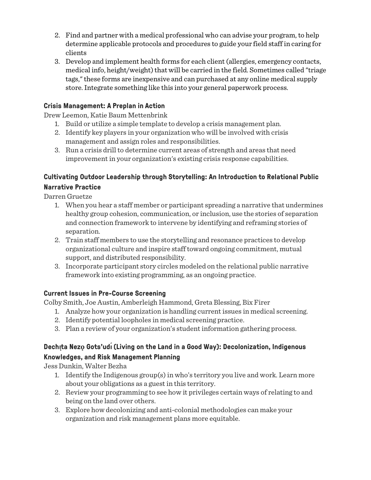- 2. Find and partner with a medical professional who can advise your program, to help determine applicable protocols and procedures to guide your field staff in caring for clients
- 3. Develop and implement health forms for each client (allergies, emergency contacts, medical info, height/weight) that will be carried in the field. Sometimes called "triage tags," these forms are inexpensive and can purchased at any online medical supply store. Integrate something like this into your general paperwork process.

### **Crisis Management: A Preplan in Action**

Drew Leemon, Katie Baum Mettenbrink

- 1. Build or utilize a simple template to develop a crisis management plan.
- 2. Identify key players in your organization who will be involved with crisis management and assign roles and responsibilities.
- 3. Run a crisis drill to determine current areas of strength and areas that need improvement in your organization's existing crisis response capabilities.

## **Cultivating Outdoor Leadership through Storytelling: An Introduction to Relational Public Narrative Practice**

Darren Gruetze

- 1. When you hear a staff member or participant spreading a narrative that undermines healthy group cohesion, communication, or inclusion, use the stories of separation and connection framework to intervene by identifying and reframing stories of separation.
- 2. Train staff members to use the storytelling and resonance practices to develop organizational culture and inspire staff toward ongoing commitment, mutual support, and distributed responsibility.
- 3. Incorporate participant story circles modeled on the relational public narrative framework into existing programming, as an ongoing practice.

## **Current Issues in Pre-Course Screening**

Colby Smith, Joe Austin, Amberleigh Hammond, Greta Blessing, Bix Firer

- 1. Analyze how your organization is handling current issues in medical screening.
- 2. Identify potential loopholes in medical screening practice.
- 3. Plan a review of your organization's student information gathering process.

## **Dechı̨ta Nezǫ Gots'udı́(Living on the Land in a Good Way): Decolonization, Indigenous Knowledges, and Risk Management Planning**

Jess Dunkin, Walter Bezha

- 1. Identify the Indigenous group(s) in who's territory you live and work. Learn more about your obligations as a guest in this territory.
- 2. Review your programming to see how it privileges certain ways of relating to and being on the land over others.
- 3. Explore how decolonizing and anti-colonial methodologies can make your organization and risk management plans more equitable.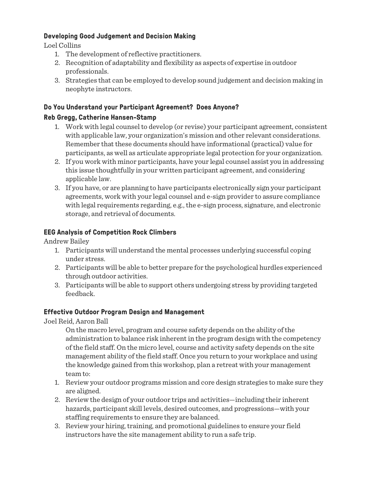#### **Developing Good Judgement and Decision Making**

Loel Collins

- 1. The development of reflective practitioners.
- 2. Recognition of adaptability and flexibility as aspects of expertise in outdoor professionals.
- 3. Strategies that can be employed to develop sound judgement and decision making in neophyte instructors.

#### **Do You Understand your Participant Agreement? Does Anyone?**

#### **Reb Gregg, Catherine Hansen-Stamp**

- 1. Work with legal counsel to develop (or revise) your participant agreement, consistent with applicable law, your organization's mission and other relevant considerations. Remember that these documents should have informational (practical) value for participants, as well as articulate appropriate legal protection for your organization.
- 2. If you work with minor participants, have your legal counsel assist you in addressing this issue thoughtfully in your written participant agreement, and considering applicable law.
- 3. If you have, or are planning to have participants electronically sign your participant agreements, work with your legal counsel and e-sign provider to assure compliance with legal requirements regarding, e.g., the e-sign process, signature, and electronic storage, and retrieval of documents.

#### **EEG Analysis of Competition Rock Climbers**

Andrew Bailey

- 1. Participants will understand the mental processes underlying successful coping under stress.
- 2. Participants will be able to better prepare for the psychological hurdles experienced through outdoor activities.
- 3. Participants will be able to support others undergoing stress by providing targeted feedback.

#### **Effective Outdoor Program Design and Management**

Joel Reid, Aaron Ball

On the macro level, program and course safety depends on the ability of the administration to balance risk inherent in the program design with the competency of the field staff. On the micro level, course and activity safety depends on the site management ability of the field staff. Once you return to your workplace and using the knowledge gained from this workshop, plan a retreat with your management team to:

- 1. Review your outdoor programs mission and core design strategies to make sure they are aligned.
- 2. Review the design of your outdoor trips and activities—including their inherent hazards, participant skill levels, desired outcomes, and progressions—with your staffing requirements to ensure they are balanced.
- 3. Review your hiring, training, and promotional guidelines to ensure your field instructors have the site management ability to run a safe trip.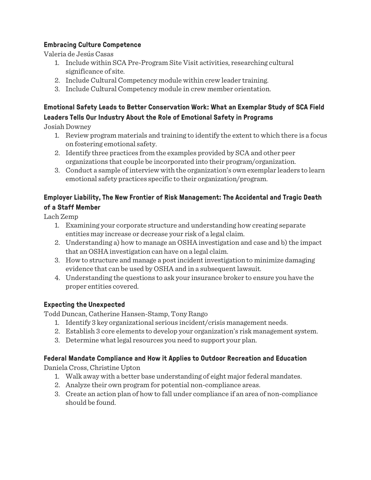### **Embracing Culture Competence**

Valeria de Jesús Casas

- 1. Include within SCA Pre-Program Site Visit activities, researching cultural significance of site.
- 2. Include Cultural Competency module within crew leader training.
- 3. Include Cultural Competency module in crew member orientation.

## **Emotional Safety Leads to Better Conservation Work: What an Exemplar Study of SCA Field Leaders Tells Our Industry About the Role of Emotional Safety in Programs**

Josiah Downey

- 1. Review program materials and training to identify the extent to which there is a focus on fostering emotional safety.
- 2. Identify three practices from the examples provided by SCA and other peer organizations that couple be incorporated into their program/organization.
- 3. Conduct a sample of interview with the organization's own exemplar leaders to learn emotional safety practices specific to their organization/program.

### **Employer Liability, The New Frontier of Risk Management: The Accidental and Tragic Death of a Staff Member**

Lach Zemp

- 1. Examining your corporate structure and understanding how creating separate entities may increase or decrease your risk of a legal claim.
- 2. Understanding a) how to manage an OSHA investigation and case and b) the impact that an OSHA investigation can have on a legal claim.
- 3. How to structure and manage a post incident investigation to minimize damaging evidence that can be used by OSHA and in a subsequent lawsuit.
- 4. Understanding the questions to ask your insurance broker to ensure you have the proper entities covered.

#### **Expecting the Unexpected**

Todd Duncan, Catherine Hansen-Stamp, Tony Rango

- 1. Identify 3 key organizational serious incident/crisis management needs.
- 2. Establish 3 core elements to develop your organization's risk management system.
- 3. Determine what legal resources you need to support your plan.

#### **Federal Mandate Compliance and How it Applies to Outdoor Recreation and Education**

Daniela Cross, Christine Upton

- 1. Walk away with a better base understanding of eight major federal mandates.
- 2. Analyze their own program for potential non-compliance areas.
- 3. Create an action plan of how to fall under compliance if an area of non-compliance should be found.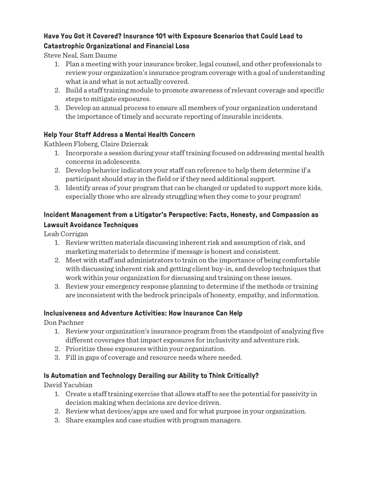### **Have You Got it Covered? Insurance 101 with Exposure Scenarios that Could Lead to Catastrophic Organizational and Financial Loss**

Steve Neal, Sam Daume

- 1. Plan a meeting with your insurance broker, legal counsel, and other professionals to review your organization's insurance program coverage with a goal of understanding what is and what is not actually covered.
- 2. Build a staff training module to promote awareness of relevant coverage and specific steps to mitigate exposures.
- 3. Develop an annual process to ensure all members of your organization understand the importance of timely and accurate reporting of insurable incidents.

### **Help Your Staff Address a Mental Health Concern**

Kathleen Floberg, Claire Dzierzak

- 1. Incorporate a session during your staff training focused on addressing mental health concerns in adolescents.
- 2. Develop behavior indicators your staff can reference to help them determine if a participant should stay in the field or if they need additional support.
- 3. Identify areas of your program that can be changed or updated to support more kids, especially those who are already struggling when they come to your program!

### **Incident Management from a Litigator's Perspective: Facts, Honesty, and Compassion as Lawsuit Avoidance Techniques**

Leah Corrigan

- 1. Review written materials discussing inherent risk and assumption of risk, and marketing materials to determine if message is honest and consistent.
- 2. Meet with staff and administrators to train on the importance of being comfortable with discussing inherent risk and getting client buy-in, and develop techniques that work within your organization for discussing and training on these issues.
- 3. Review your emergency response planning to determine if the methods or training are inconsistent with the bedrock principals of honesty, empathy, and information.

#### **Inclusiveness and Adventure Activities: How Insurance Can Help**

Don Pachner

- 1. Review your organization's insurance program from the standpoint of analyzing five different coverages that impact exposures for inclusivity and adventure risk.
- 2. Prioritize these exposures within your organization.
- 3. Fill in gaps of coverage and resource needs where needed.

#### **Is Automation and Technology Derailing our Ability to Think Critically?**

David Yacubian

- 1. Create a staff training exercise that allows staff to see the potential for passivity in decision making when decisions are device driven.
- 2. Review what devices/apps are used and for what purpose in your organization.
- 3. Share examples and case studies with program managers.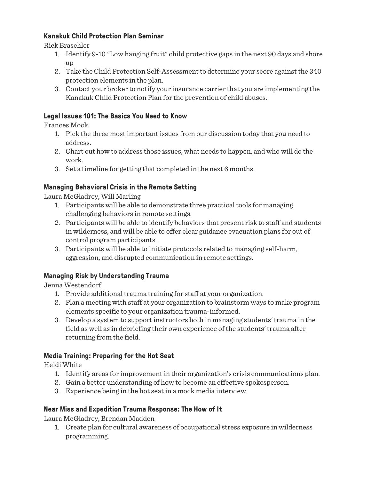### **Kanakuk Child Protection Plan Seminar**

Rick Braschler

- 1. Identify 9-10 "Low hanging fruit" child protective gaps in the next 90 days and shore up
- 2. Take the Child Protection Self-Assessment to determine your score against the 340 protection elements in the plan.
- 3. Contact your broker to notify your insurance carrier that you are implementing the Kanakuk Child Protection Plan for the prevention of child abuses.

#### **Legal Issues 101: The Basics You Need to Know**

Frances Mock

- 1. Pick the three most important issues from our discussion today that you need to address.
- 2. Chart out how to address those issues, what needs to happen, and who will do the work.
- 3. Set a timeline for getting that completed in the next 6 months.

### **Managing Behavioral Crisis in the Remote Setting**

Laura McGladrey, Will Marling

- 1. Participants will be able to demonstrate three practical tools for managing challenging behaviors in remote settings.
- 2. Participants will be able to identify behaviors that present risk to staff and students in wilderness, and will be able to offer clear guidance evacuation plans for out of control program participants.
- 3. Participants will be able to initiate protocols related to managing self-harm, aggression, and disrupted communication in remote settings.

## **Managing Risk by Understanding Trauma**

Jenna Westendorf

- 1. Provide additional trauma training for staff at your organization.
- 2. Plan a meeting with staff at your organization to brainstorm ways to make program elements specific to your organization trauma-informed.
- 3. Develop a system to support instructors both in managing students' trauma in the field as well as in debriefing their own experience of the students' trauma after returning from the field.

#### **Media Training: Preparing for the Hot Seat**

Heidi White

- 1. Identify areas for improvement in their organization's crisis communications plan.
- 2. Gain a better understanding of how to become an effective spokesperson.
- 3. Experience being in the hot seat in a mock media interview.

#### **Near Miss and Expedition Trauma Response: The How of It**

Laura McGladrey, Brendan Madden

1. Create plan for cultural awareness of occupational stress exposure in wilderness programming.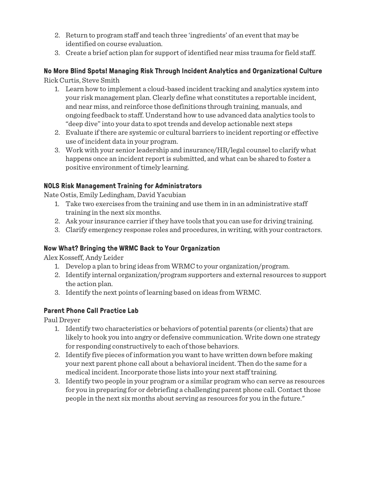- 2. Return to program staff and teach three 'ingredients' of an event that may be identified on course evaluation.
- 3. Create a brief action plan for support of identified near miss trauma for field staff.

#### **No More Blind Spots! Managing Risk Through Incident Analytics and Organizational Culture** Rick Curtis, Steve Smith

- 1. Learn how to implement a cloud-based incident tracking and analytics system into your risk management plan. Clearly define what constitutes a reportable incident, and near miss, and reinforce those definitions through training, manuals, and ongoing feedback to staff. Understand how to use advanced data analytics tools to "deep dive" into your data to spot trends and develop actionable next steps
- 2. Evaluate if there are systemic or cultural barriers to incident reporting or effective use of incident data in your program.
- 3. Work with your senior leadership and insurance/HR/legal counsel to clarify what happens once an incident report is submitted, and what can be shared to foster a positive environment of timely learning.

#### **NOLS Risk Management Training for Administrators**

Nate Ostis, Emily Ledingham, David Yacubian

- 1. Take two exercises from the training and use them in in an administrative staff training in the next six months.
- 2. Ask your insurance carrier if they have tools that you can use for driving training.
- 3. Clarify emergency response roles and procedures, in writing, with your contractors.

#### **Now What? Bringing the WRMC Back to Your Organization**

Alex Kosseff, Andy Leider

- 1. Develop a plan to bring ideas from WRMC to your organization/program.
- 2. Identify internal organization/program supporters and external resources to support the action plan.
- 3. Identify the next points of learning based on ideas from WRMC.

#### **Parent Phone Call Practice Lab**

Paul Dreyer

- 1. Identify two characteristics or behaviors of potential parents (or clients) that are likely to hook you into angry or defensive communication. Write down one strategy for responding constructively to each of those behaviors.
- 2. Identify five pieces of information you want to have written down before making your next parent phone call about a behavioral incident. Then do the same for a medical incident. Incorporate those lists into your next staff training.
- 3. Identify two people in your program or a similar program who can serve as resources for you in preparing for or debriefing a challenging parent phone call. Contact those people in the next six months about serving as resources for you in the future."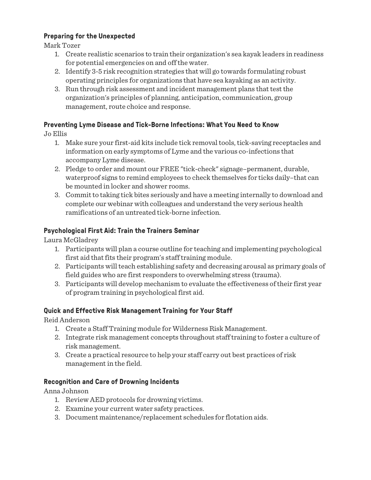#### **Preparing for the Unexpected**

Mark Tozer

- 1. Create realistic scenarios to train their organization's sea kayak leaders in readiness for potential emergencies on and off the water.
- 2. Identify 3-5 risk recognition strategies that will go towards formulating robust operating principles for organizations that have sea kayaking as an activity.
- 3. Run through risk assessment and incident management plans that test the organization's principles of planning, anticipation, communication, group management, route choice and response.

#### **Preventing Lyme Disease and Tick-Borne Infections: What You Need to Know**

Jo Ellis

- 1. Make sure your first-aid kits include tick removal tools, tick-saving receptacles and information on early symptoms of Lyme and the various co-infections that accompany Lyme disease.
- 2. Pledge to order and mount our FREE "tick-check" signage–permanent, durable, waterproof signs to remind employees to check themselves for ticks daily–that can be mounted in locker and shower rooms.
- 3. Commit to taking tick bites seriously and have a meeting internally to download and complete our webinar with colleagues and understand the very serious health ramifications of an untreated tick-borne infection.

#### **Psychological First Aid: Train the Trainers Seminar**

Laura McGladrey

- 1. Participants will plan a course outline for teaching and implementing psychological first aid that fits their program's staff training module.
- 2. Participants will teach establishing safety and decreasing arousal as primary goals of field guides who are first responders to overwhelming stress (trauma).
- 3. Participants will develop mechanism to evaluate the effectiveness of their first year of program training in psychological first aid.

#### **Quick and Effective Risk Management Training for Your Staff**

Reid Anderson

- 1. Create a Staff Training module for Wilderness Risk Management.
- 2. Integrate risk management concepts throughout staff training to foster a culture of risk management.
- 3. Create a practical resource to help your staff carry out best practices of risk management in the field.

#### **Recognition and Care of Drowning Incidents**

Anna Johnson

- 1. Review AED protocols for drowning victims.
- 2. Examine your current water safety practices.
- 3. Document maintenance/replacement schedules for flotation aids.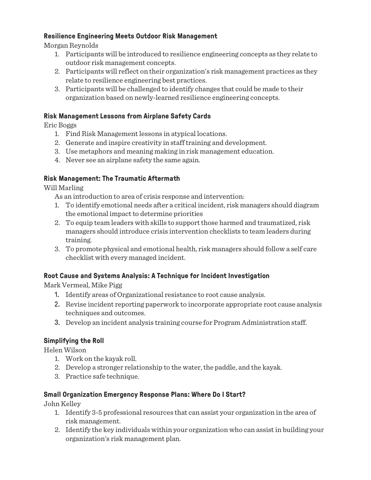#### **Resilience Engineering Meets Outdoor Risk Management**

Morgan Reynolds

- 1. Participants will be introduced to resilience engineering concepts as they relate to outdoor risk management concepts.
- 2. Participants will reflect on their organization's risk management practices as they relate to resilience engineering best practices.
- 3. Participants will be challenged to identify changes that could be made to their organization based on newly-learned resilience engineering concepts.

#### **Risk Management Lessons from Airplane Safety Cards**

Eric Boggs

- 1. Find Risk Management lessons in atypical locations.
- 2. Generate and inspire creativity in staff training and development.
- 3. Use metaphors and meaning making in risk management education.
- 4. Never see an airplane safety the same again.

#### **Risk Management: The Traumatic Aftermath**

Will Marling

As an introduction to area of crisis response and intervention:

- 1. To identify emotional needs after a critical incident, risk managers should diagram the emotional impact to determine priorities
- 2. To equip team leaders with skills to support those harmed and traumatized, risk managers should introduce crisis intervention checklists to team leaders during training.
- 3. To promote physical and emotional health, risk managers should follow a self care checklist with every managed incident.

#### **Root Cause and Systems Analysis: A Technique for Incident Investigation**

Mark Vermeal, Mike Pigg

- 1. Identify areas of Organizational resistance to root cause analysis.
- 2. Revise incident reporting paperwork to incorporate appropriate root cause analysis techniques and outcomes.
- 3. Develop an incident analysis training course for Program Administration staff.

#### **Simplifying the Roll**

Helen Wilson

- 1. Work on the kayak roll.
- 2. Develop a stronger relationship to the water, the paddle, and the kayak.
- 3. Practice safe technique.

#### **Small Organization Emergency Response Plans: Where Do I Start?**

John Kelley

- 1. Identify 3-5 professional resources that can assist your organization in the area of risk management.
- 2. Identify the key individuals within your organization who can assist in building your organization's risk management plan.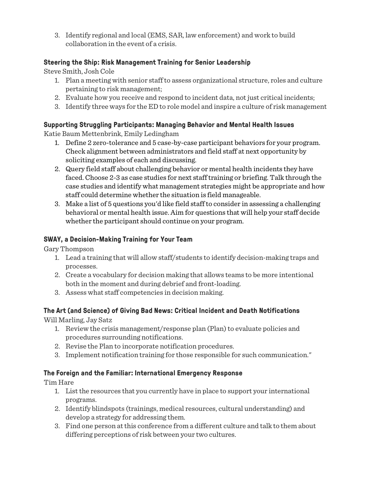3. Identify regional and local (EMS, SAR, law enforcement) and work to build collaboration in the event of a crisis.

### **Steering the Ship: Risk Management Training for Senior Leadership**

Steve Smith, Josh Cole

- 1. Plan a meeting with senior staff to assess organizational structure, roles and culture pertaining to risk management;
- 2. Evaluate how you receive and respond to incident data, not just critical incidents;
- 3. Identify three ways for the ED to role model and inspire a culture of risk management

## **Supporting Struggling Participants: Managing Behavior and Mental Health Issues**

Katie Baum Mettenbrink, Emily Ledingham

- 1. Define 2 zero-tolerance and 5 case-by-case participant behaviors for your program. Check alignment between administrators and field staff at next opportunity by soliciting examples of each and discussing.
- 2. Query field staff about challenging behavior or mental health incidents they have faced. Choose 2-3 as case studies for next staff training or briefing. Talk through the case studies and identify what management strategies might be appropriate and how staff could determine whether the situation is field manageable.
- 3. Make a list of 5 questions you'd like field staff to consider in assessing a challenging behavioral or mental health issue. Aim for questions that will help your staff decide whether the participant should continue on your program.

## **SWAY, a Decision-Making Training for Your Team**

Gary Thompson

- 1. Lead a training that will allow staff/students to identify decision-making traps and processes.
- 2. Create a vocabulary for decision making that allows teams to be more intentional both in the moment and during debrief and front-loading.
- 3. Assess what staff competencies in decision making.

## **The Art (and Science) of Giving Bad News: Critical Incident and Death Notifications**

Will Marling, Jay Satz

- 1. Review the crisis management/response plan (Plan) to evaluate policies and procedures surrounding notifications.
- 2. Revise the Plan to incorporate notification procedures.
- 3. Implement notification training for those responsible for such communication."

## **The Foreign and the Familiar: International Emergency Response**

Tim Hare

- 1. List the resources that you currently have in place to support your international programs.
- 2. Identify blindspots (trainings, medical resources, cultural understanding) and develop a strategy for addressing them.
- 3. Find one person at this conference from a different culture and talk to them about differing perceptions of risk between your two cultures.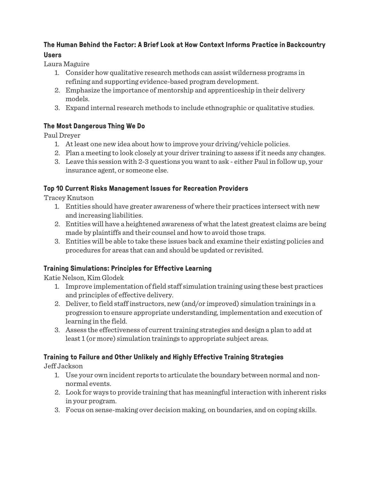### **The Human Behind the Factor: A Brief Look at How Context Informs Practice in Backcountry Users**

Laura Maguire

- 1. Consider how qualitative research methods can assist wilderness programs in refining and supporting evidence-based program development.
- 2. Emphasize the importance of mentorship and apprenticeship in their delivery models.
- 3. Expand internal research methods to include ethnographic or qualitative studies.

## **The Most Dangerous Thing We Do**

Paul Dreyer

- 1. At least one new idea about how to improve your driving/vehicle policies.
- 2. Plan a meeting to look closely at your driver training to assess if it needs any changes.
- 3. Leave this session with 2-3 questions you want to ask either Paul in follow up, your insurance agent, or someone else.

## **Top 10 Current Risks Management Issues for Recreation Providers**

Tracey Knutson

- 1. Entities should have greater awareness of where their practices intersect with new and increasing liabilities.
- 2. Entities will have a heightened awareness of what the latest greatest claims are being made by plaintiffs and their counsel and how to avoid those traps.
- 3. Entities will be able to take these issues back and examine their existing policies and procedures for areas that can and should be updated or revisited.

# **Training Simulations: Principles for Effective Learning**

Katie Nelson, Kim Glodek

- 1. Improve implementation of field staff simulation training using these best practices and principles of effective delivery.
- 2. Deliver, to field staff instructors, new (and/or improved) simulation trainings in a progression to ensure appropriate understanding, implementation and execution of learning in the field.
- 3. Assess the effectiveness of current training strategies and design a plan to add at least 1 (or more) simulation trainings to appropriate subject areas.

# **Training to Failure and Other Unlikely and Highly Effective Training Strategies**

Jeff Jackson

- 1. Use your own incident reports to articulate the boundary between normal and nonnormal events.
- 2. Look for ways to provide training that has meaningful interaction with inherent risks in your program.
- 3. Focus on sense-making over decision making, on boundaries, and on coping skills.